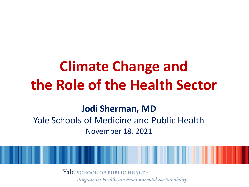# **Climate Change and the Role of the Health Sector**

#### **Jodi Sherman, MD**

#### Yale Schools of Medicine and Public Health November 18, 2021

Yale school of public HEALTH Program on Healthcare Environmental Sustainability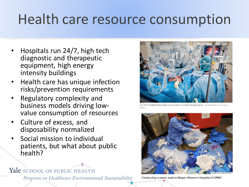## Health care resource consumption

- Hospitals run 24/7, high tech diagnostic and therapeutic equipment, high energy intensity buildings
- Health care has unique infection risks/prevention requirements
- Regulatory complexity and business models driving lowvalue consumption of resources
- Culture of excess, and disposability normalized
- Social mission to individual patients, but what about public health?

#### Yale SCHOOL OF PUBLIC HEALTH

Program on Healthcare Environmental Sustainability



da Vinci surgical device being used to remove a patient's prostate gland. Aberration Films Ltd./Science



Conducting a waste audit at Magee Women's Hospital of UPMC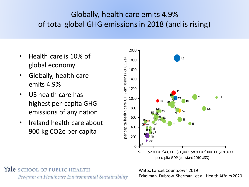#### Globally, health care emits 4.9% of total global GHG emissions in 2018 (and is rising)

- Health care is 10% of global economy
- Globally, health care emits 4.9%
- US health care has highest per-capita GHG emissions of any nation
- Ireland health care about 900 kg CO2e per capita



Yale school of public health Program on Healthcare Environmental Sustainability

Watts, Lancet Countdown 2019 Eckelman, Dubrow, Sherman, et al, Health Affairs 2020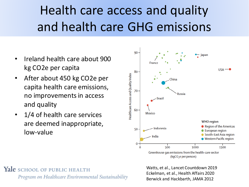### Health care access and quality and health care GHG emissions

- Ireland health care about 900 kg CO2e per capita
- After about 450 kg CO2e per capita health care emissions, no improvements in access and quality
- 1/4 of health care services are deemed inappropriate, low-value



 $(kqCO<sub>2</sub>e per person)$ 

Yale SCHOOL OF PUBLIC HEALTH Program on Healthcare Environmental Sustainability Watts, et al., Lancet Countdown 2019 Eckelman, et al., Health Affairs 2020 Berwick and Hackbarth, JAMA 2012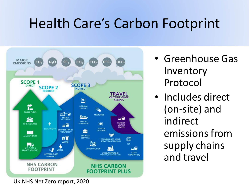### Health Care's Carbon Footprint



- Greenhouse Gas Inventory Protocol
- Includes direct (on-site) and indirect emissions from supply chains and travel

UK NHS Net Zero report, 2020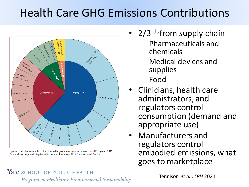#### Health Care GHG Emissions Contributions



Figure 4: Contribution of different sectors to the greenhouse gas emissions of the NHS England, 2019 Data available in appendix 1 (p 39). MDI=metered dose inhaler. NHS=National Health Service

- 2/3rds from supply chain
	- Pharmaceuticals and chemicals
	- Medical devices and supplies
	- Food
- Clinicians, health care administrators, and regulators control consumption (demand and appropriate use)
- Manufacturers and regulators control embodied emissions, what goes to marketplace

#### Yale SCHOOL OF PUBLIC HEALTH

Program on Healthcare Environmental Sustainability

Tennison *et al*., *LPH* 2021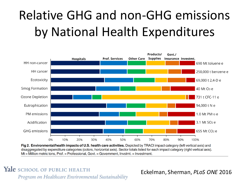## Relative GHG and non-GHG emissions by National Health Expenditures



Fig 2. Environmental/health impacts of U.S. health care activities. Depicted by TRACI impact category (left vertical axis) and disaggregated by expenditure categories (colors, horizontal axis). Sector totals listed for each impact category (right vertical axis).  $Mt =$  Million metric tons, Prof. = Professional, Govt. = Government, Invstmt. = Investment.

Yale SCHOOL OF PUBLIC HEALTH Program on Healthcare Environmental Sustainability

Eckelman, Sherman, *PLoS ONE* 2016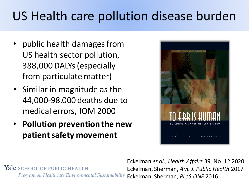### US Health care pollution disease burden

- public health damages from US health sector pollution, 388,000 DALYs (especially from particulate matter)
- Similar in magnitude as the 44,000-98,000 deaths due to medical errors, IOM 2000
- **Pollution prevention the new patient safety movement**



Yale school of public health Program on Healthcare Environmental Sustainability

Eckelman *et al*., *Health Affairs* 39, No. 12 2020 Eckelman, Sherman**,** *Am. J. Public Health* 2017 Eckelman, Sherman, *PLoS ONE* 2016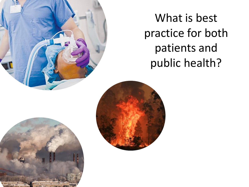What is best practice for both patients and public health?